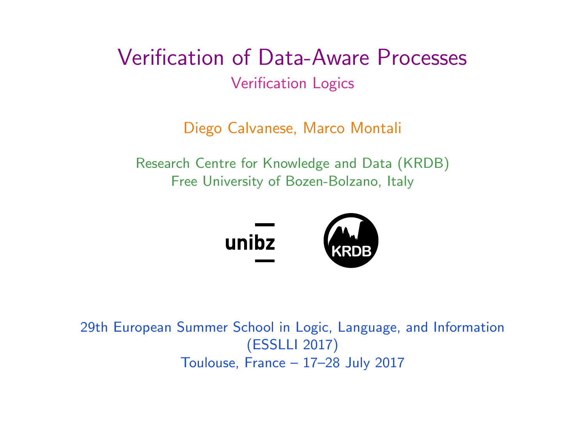<span id="page-0-0"></span>Verification of Data-Aware Processes Verification Logics

Diego Calvanese, Marco Montali

Research Centre for Knowledge and Data (KRDB) Free University of Bozen-Bolzano, Italy



29th European Summer School in Logic, Language, and Information (ESSLLI 2017) Toulouse, France – 17–28 July 2017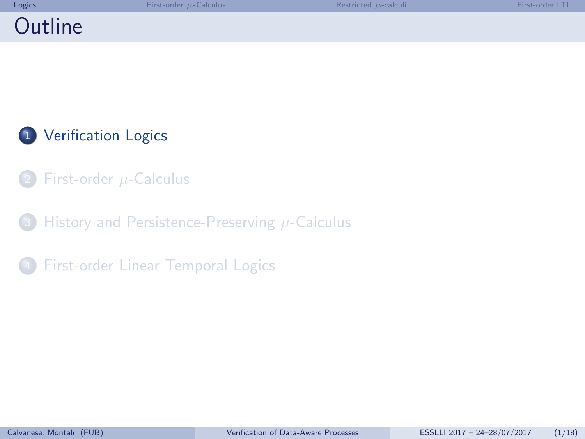<span id="page-1-0"></span>

| Logics  | First-order $\mu$ -Calculus | Restricted $\mu$ -calculi | First-order I TI |
|---------|-----------------------------|---------------------------|------------------|
| Outline |                             |                           |                  |

- [First-order](#page-5-0)  $\mu$ -Calculus
- [History and Persistence-Preserving](#page-9-0)  $\mu$ -Calculus
- **[First-order Linear Temporal Logics](#page-13-0)**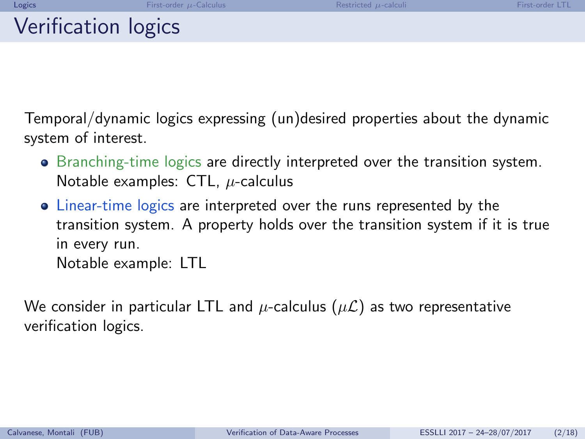Temporal/dynamic logics expressing (un)desired properties about the dynamic system of interest.

- Branching-time logics are directly interpreted over the transition system. Notable examples:  $CTL$ ,  $\mu$ -calculus
- Linear-time logics are interpreted over the runs represented by the transition system. A property holds over the transition system if it is true in every run. Notable example: LTL

We consider in particular LTL and  $\mu$ -calculus  $(\mu \mathcal{L})$  as two representative verification logics.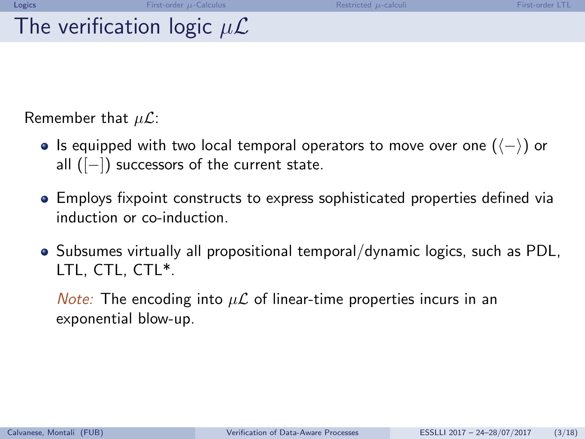## The verification logic  $\mu\mathcal{L}$

Remember that  $\mu\mathcal{L}$ :

- $\bullet$  Is equipped with two local temporal operators to move over one  $($   $\langle \rangle)$  or all ([-]) successors of the current state.
- Employs fixpoint constructs to express sophisticated properties defined via induction or co-induction.
- Subsumes virtually all propositional temporal/dynamic logics, such as PDL, LTL, CTL, CTL\*.

*Note:* The encoding into  $\mu\mathcal{L}$  of linear-time properties incurs in an exponential blow-up.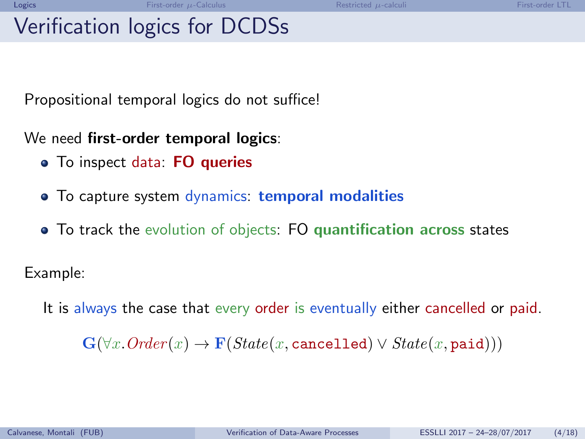## Verification logics for DCDSs

Propositional temporal logics do not suffice!

We need first-order temporal logics:

- To inspect data: FO queries
- To capture system dynamics: temporal modalities
- To track the evolution of objects: FO quantification across states

Example:

It is always the case that every order is eventually either cancelled or paid.

 $\mathbf{G}(\forall x. Order(x) \rightarrow \mathbf{F}(State(x, \text{cancelled}) \vee State(x, \text{paid})))$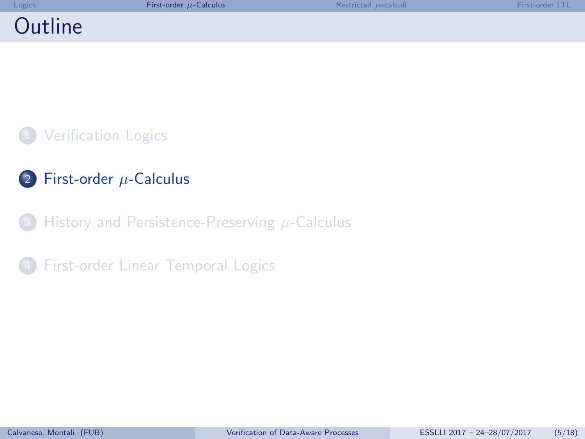<span id="page-5-0"></span>

| Logics  | First-order $\mu$ -Calculus | Restricted $\mu$ -calculi | First-order LTL |
|---------|-----------------------------|---------------------------|-----------------|
| Outline |                             |                           |                 |

- 2 [First-order](#page-5-0)  $\mu$ -Calculus
- [History and Persistence-Preserving](#page-9-0)  $\mu$ -Calculus

**[First-order Linear Temporal Logics](#page-13-0)**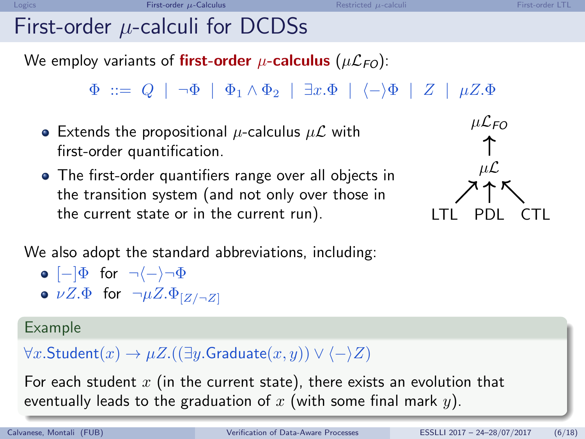# First-order  $\mu$ -calculi for DCDSs

We employ variants of **first-order**  $\mu$ -**calculus** ( $\mu$  $\mathcal{L}_{FO}$ ):

 $\Phi$  ::=  $Q$  |  $\neg \Phi$  |  $\Phi_1 \wedge \Phi_2$  |  $\exists x.\Phi$  |  $\langle - \rangle \Phi$  | Z |  $\mu Z.\Phi$ 

- Extends the propositional  $\mu$ -calculus  $\mu\mathcal{L}$  with first-order quantification.
- The first-order quantifiers range over all objects in the transition system (and not only over those in the current state or in the current run). LTL PDL CTL



We also adopt the standard abbreviations, including:

$$
\bullet \,\, [\mathord{-}] \Phi \,\, \text{ for } \,\, \neg \langle \mathord{-} \rangle \neg \Phi
$$

 $\bullet$   $\nu Z.\Phi$  for  $\neg \mu Z.\Phi_{[Z/\neg Z]}$ 

#### Example

 $\forall x.$ Student $(x) \rightarrow \mu Z.((\exists y.$ Graduate $(x, y)) \vee \langle -\rangle Z)$ 

For each student  $x$  (in the current state), there exists an evolution that eventually leads to the graduation of x (with some final mark  $y$ ).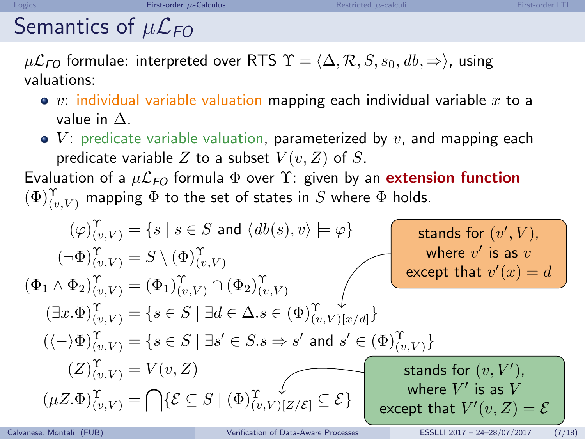# Semantics of  $\mu\mathcal{L}_{FO}$

 $\mu\mathcal{L}_{FO}$  formulae: interpreted over RTS  $\Upsilon = \langle \Delta, \mathcal{R}, S, s_0, db, \Rightarrow \rangle$ , using valuations:

- $\bullet$  v: individual variable valuation mapping each individual variable x to a value in ∆.
- $V$ : predicate variable valuation, parameterized by v, and mapping each predicate variable Z to a subset  $V(v, Z)$  of S.

Evaluation of a  $\mu\mathcal{L}_{FO}$  formula  $\Phi$  over  $\Upsilon$ : given by an **extension function**  $(\Phi)_{(v,V)}^{\Upsilon}$  mapping  $\Phi$  to the set of states in  $S$  where  $\Phi$  holds.

$$
(\varphi)_{(v,V)}^{\Upsilon} = \{s \mid s \in S \text{ and } \langle db(s), v \rangle \models \varphi\}
$$
\n
$$
(\neg \Phi)_{(v,V)}^{\Upsilon} = S \setminus (\Phi)_{(v,V)}^{\Upsilon}
$$
\n
$$
(\Phi_1 \land \Phi_2)_{(v,V)}^{\Upsilon} = (\Phi_1)_{(v,V)}^{\Upsilon} \cap (\Phi_2)_{(v,V)}^{\Upsilon}
$$
\n
$$
(\exists x. \Phi)_{(v,V)}^{\Upsilon} = \{s \in S \mid \exists d \in \Delta.s \in (\Phi)_{(v,V)}^{\Upsilon} \cup [\exists d] \}
$$
\n
$$
(\langle -\rangle \Phi)_{(v,V)}^{\Upsilon} = \{s \in S \mid \exists s' \in S.s \Rightarrow s' \text{ and } s' \in (\Phi)_{(v,V)}^{\Upsilon} \}
$$
\n
$$
(Z)_{(v,V)}^{\Upsilon} = V(v, Z)
$$
\n
$$
(\mu Z. \Phi)_{(v,V)}^{\Upsilon} = \bigcap \{\mathcal{E} \subseteq S \mid (\Phi)_{(v,V)}^{\Upsilon} \cup [\forall z/\mathcal{E}] \subseteq \mathcal{E}\}
$$
\n
$$
\bigcap_{\text{Calkanese, Montali (FUB)} \text{Calka-Avare Processes}} \bigcap_{\text{Datala-Avare Processes}} \bigcap_{\text{Datala-Avare Processes}} \bigcap_{\text{DSELa-Avare} \text{CALa-Avare}} \bigcap_{\text{DISTLLa 2017 - 24-28/07/2017}} \bigcap_{(7/18) \text{CALa}} \bigcap_{\text{DISTLLa 2017 - 24-28/07/2017}} \bigcap_{(7/18) \text{CALa-Avare}
$$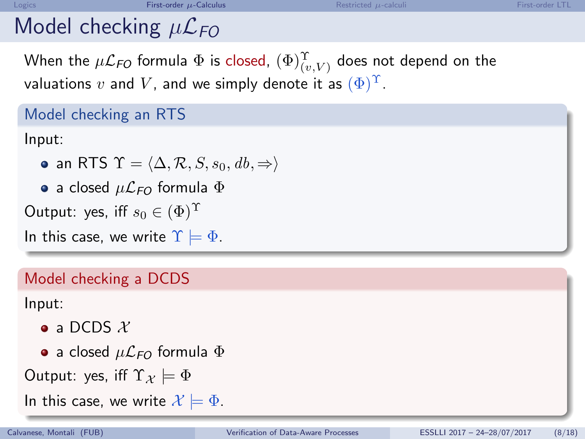# Model checking  $\mu\mathcal{L}_{FO}$

When the  $\mu{\cal L}_{FO}$  formula  $\Phi$  is closed,  $(\Phi)_{(v,V)}^{\Upsilon}$  does not depend on the valuations v and V, and we simply denote it as  $(\Phi)^{\Upsilon}$ .

### Model checking an RTS

Input:

- an RTS  $\Upsilon = \langle \Delta, \mathcal{R}, S, s_0, db, \Rightarrow \rangle$
- a closed  $\mu$  $\mathcal{L}_{FO}$  formula  $\Phi$

Output: yes, iff  $s_0 \in (\Phi)^{\Upsilon}$ 

In this case, we write  $\Upsilon = \Phi$ .

### Model checking a DCDS

Input:

- $\bullet$  a DCDS  $\mathcal{X}$
- a closed  $\mu$  $\mathcal{L}_{FO}$  formula  $\Phi$

Output: yes, iff  $\Upsilon_{\mathcal{X}} \models \Phi$ 

In this case, we write  $\mathcal{X} = \Phi$ .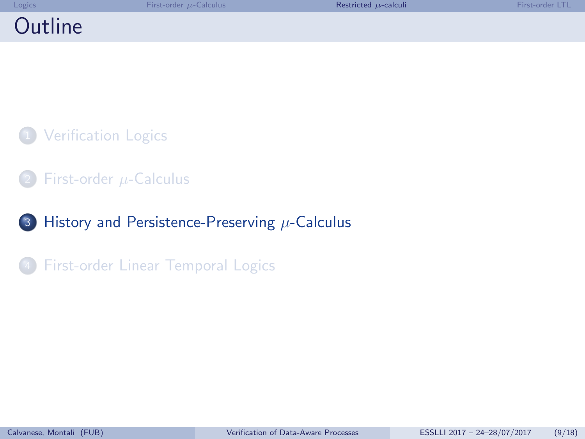<span id="page-9-0"></span>

| Logics  | First-order $\mu$ -Calculus | Restricted $\mu$ -calculi | First-order ITI |
|---------|-----------------------------|---------------------------|-----------------|
| Outline |                             |                           |                 |

- [First-order](#page-5-0)  $\mu$ -Calculus
- 3 [History and Persistence-Preserving](#page-9-0)  $\mu$ -Calculus

**[First-order Linear Temporal Logics](#page-13-0)**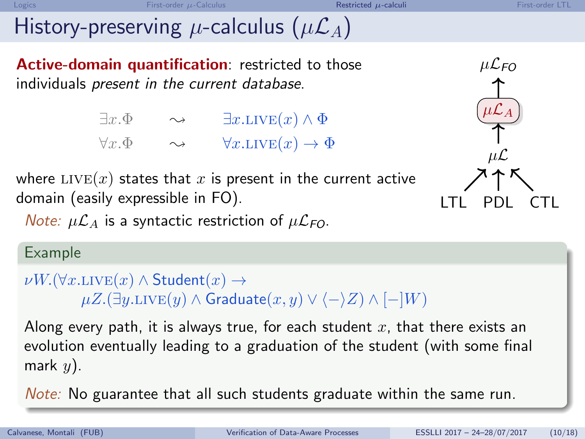# History-preserving  $\mu$ -calculus  $(\mu \mathcal{L}_A)$

Active-domain quantification: restricted to those individuals present in the current database.

> $\exists x.\Phi \qquad \rightsquigarrow \qquad \exists x.\text{LIVE}(x) \land \Phi$  $\forall x.\Phi \qquad \rightsquigarrow \qquad \forall x.\text{LIVE}(x) \rightarrow \Phi$



where  $LIVE(x)$  states that x is present in the current active domain (easily expressible in FO).  $\overline{C}$   $\overline{C}$   $\overline{C}$   $\overline{C}$   $\overline{C}$   $\overline{C}$   $\overline{C}$   $\overline{C}$   $\overline{C}$   $\overline{C}$   $\overline{C}$   $\overline{C}$   $\overline{C}$   $\overline{C}$   $\overline{C}$   $\overline{C}$   $\overline{C}$   $\overline{C}$   $\overline{C}$   $\overline{C}$   $\overline{C$ 

*Note:*  $\mu\mathcal{L}_A$  is a syntactic restriction of  $\mu\mathcal{L}_{FO}$ .

### Example

```
\nu W.(\forall x \text{.LIVE}(x) \land \mathsf{Student}(x) \rightarrow\mu Z.(\exists y. \text{LIVE}(y) \land \text{Graduate}(x, y) \lor \langle -\rangle Z) \land [-|W|]
```
Along every path, it is always true, for each student x, that there exists an evolution eventually leading to a graduation of the student (with some final mark  $y$ ).

Note: No guarantee that all such students graduate within the same run.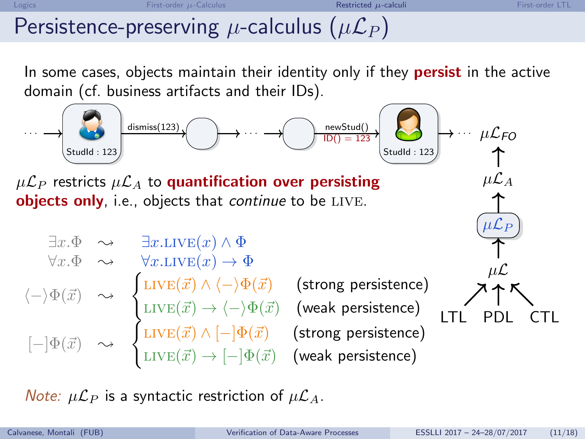## Persistence-preserving  $\mu$ -calculus ( $\mu\mathcal{L}_P$ )

In some cases, objects maintain their identity only if they **persist** in the active domain (cf. business artifacts and their IDs).



Note:  $\mu \mathcal{L}_P$  is a syntactic restriction of  $\mu \mathcal{L}_A$ .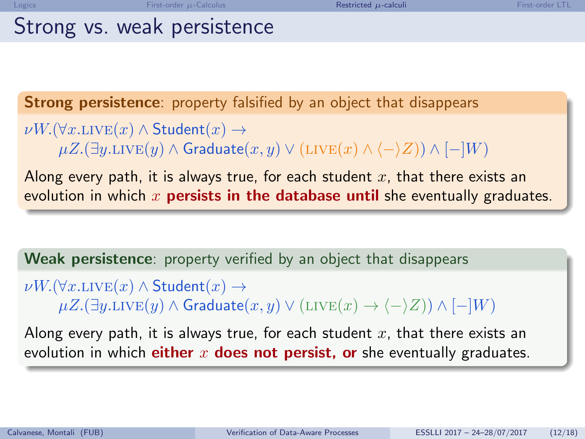| ÷ |   |  |
|---|---|--|
| ٠ | ۰ |  |

### Strong vs. weak persistence

Strong persistence: property falsified by an object that disappears

 $\nu W.(\forall x \text{.LIVE}(x) \land \mathsf{Student}(x) \rightarrow$  $\mu Z.(\exists y. \text{LIVE}(y) \land \text{Graduate}(x, y) \lor (\text{LIVE}(x) \land \langle - \rangle Z)) \land [-|W)$ 

Along every path, it is always true, for each student  $x$ , that there exists an evolution in which  $x$  persists in the database until she eventually graduates.

Weak persistence: property verified by an object that disappears

 $\nu W.(\forall x \text{.LIVE}(x) \land \mathsf{Student}(x) \rightarrow$  $\mu Z.(\exists y. \text{LIVE}(y) \land \text{Graduate}(x, y) \lor (\text{LIVE}(x) \rightarrow \langle - \rangle Z)) \land [-|W)$ 

Along every path, it is always true, for each student  $x$ , that there exists an evolution in which either x does not persist, or she eventually graduates.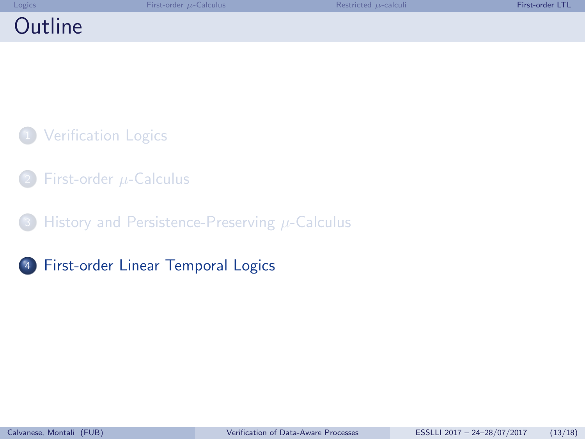<span id="page-13-0"></span>

| Logics  | First-order $\mu$ -Calculus | Restricted $\mu$ -calculi | First-order ITI |
|---------|-----------------------------|---------------------------|-----------------|
| Outline |                             |                           |                 |

- [First-order](#page-5-0)  $\mu$ -Calculus
- [History and Persistence-Preserving](#page-9-0)  $\mu$ -Calculus
- <sup>4</sup> [First-order Linear Temporal Logics](#page-13-0)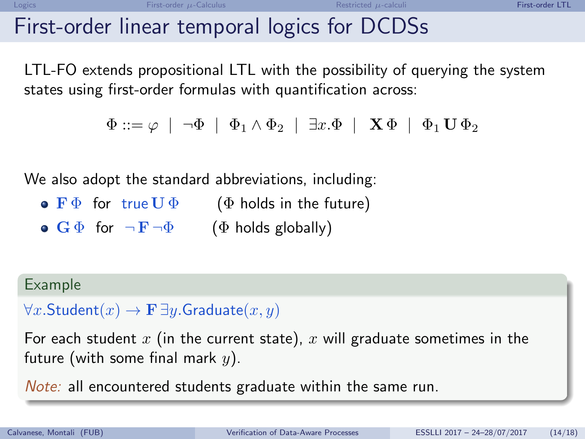## First-order linear temporal logics for DCDSs

LTL-FO extends propositional LTL with the possibility of querying the system states using first-order formulas with quantification across:

```
\Phi ::= \varphi \mid \neg \Phi \mid \Phi_1 \wedge \Phi_2 \mid \exists x . \Phi \mid \mathbf{X} \Phi \mid \Phi_1 \mathbf{U} \Phi_2
```
We also adopt the standard abbreviations, including:

- $\bullet$  F  $\Phi$  for true U  $\Phi$  ( $\Phi$  holds in the future)
- $\bullet$  G  $\Phi$  for  $\neg$  F $\neg$  $\Phi$  ( $\Phi$  holds globally)

### Example

 $\forall x.\mathsf{Student}(x) \rightarrow \mathbf{F} \exists y.\mathsf{Graduate}(x,y)$ 

For each student x (in the current state), x will graduate sometimes in the future (with some final mark  $y$ ).

Note: all encountered students graduate within the same run.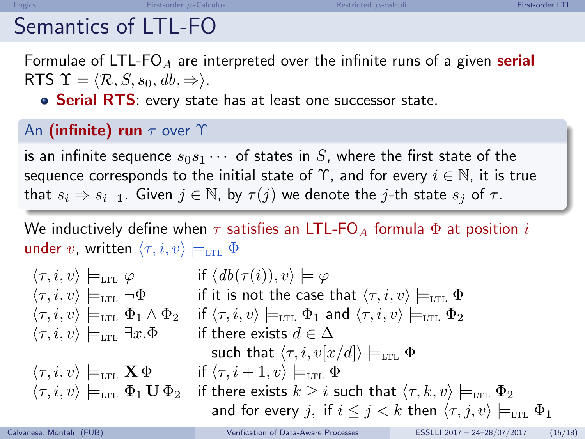## Semantics of LTL-FO

Formulae of LTL-FO<sub>A</sub> are interpreted over the infinite runs of a given **serial** RTS  $\Upsilon = \langle \mathcal{R}, S, s_0, db, \Rightarrow \rangle$ .

• Serial RTS: every state has at least one successor state.

### An (infinite) run  $\tau$  over  $\Upsilon$

is an infinite sequence  $s_0s_1 \cdots$  of states in S, where the first state of the sequence corresponds to the initial state of  $\Upsilon$ , and for every  $i \in \mathbb{N}$ , it is true that  $s_i \Rightarrow s_{i+1}$ . Given  $j \in \mathbb{N}$ , by  $\tau(j)$  we denote the j-th state  $s_j$  of  $\tau$ .

We inductively define when  $\tau$  satisfies an LTL-FO<sub>A</sub> formula  $\Phi$  at position i under v, written  $\langle \tau, i, v \rangle \models_{\text{LTL}} \Phi$ 

 $\langle \tau, i, v \rangle \models_{\text{LTL}} \varphi$  if  $\langle db(\tau(i)), v \rangle \models \varphi$  $\langle \tau, i, v \rangle \models_{\text{LTL}} \neg \Phi$  if it is not the case that  $\langle \tau, i, v \rangle \models_{\text{LTL}} \Phi$  $\langle \tau, i, v \rangle \models_{\text{LTL}} \Phi_1 \wedge \Phi_2$  if  $\langle \tau, i, v \rangle \models_{\text{LTL}} \Phi_1$  and  $\langle \tau, i, v \rangle \models_{\text{LTL}} \Phi_2$  $\langle \tau, i, v \rangle \models_{\text{LTL}} \exists x.\Phi$  if there exists  $d \in \Delta$ such that  $\langle \tau, i, v[x/d] \rangle \models_{\text{LTL}} \Phi$  $\langle \tau, i, v \rangle \models_{\text{LTL}} \mathbf{X} \Phi$  if  $\langle \tau, i + 1, v \rangle \models_{\text{LTL}} \Phi$  $\langle \tau, i, v \rangle \models_{\text{LTL}} \Phi_1 \mathbf{U} \Phi_2$  if there exists  $k \geq i$  such that  $\langle \tau, k, v \rangle \models_{\text{LTL}} \Phi_2$ and for every j, if  $i \leq j < k$  then  $\langle \tau, j, v \rangle \models_{\text{LTL}} \Phi_1$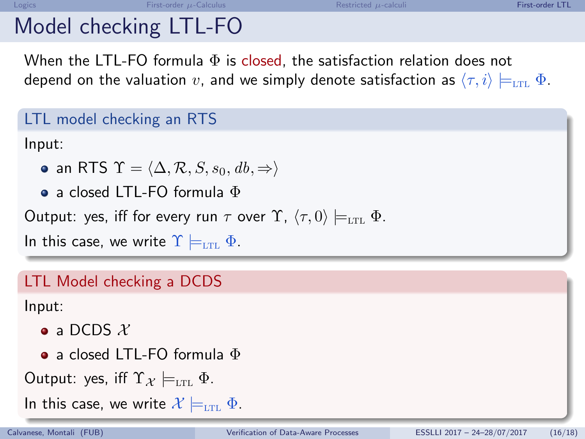# Model checking LTL-FO

When the LTL-FO formula  $\Phi$  is closed, the satisfaction relation does not depend on the valuation v, and we simply denote satisfaction as  $\langle \tau, i \rangle \models_{\text{LTL}} \Phi$ .

### LTL model checking an RTS

Input:

- an RTS  $\Upsilon = \langle \Delta, \mathcal{R}, S, s_0, db, \Rightarrow \rangle$
- a closed LTL-FO formula Φ

Output: yes, iff for every run  $\tau$  over  $\Upsilon$ ,  $\langle \tau, 0 \rangle \models_{\text{LTL}} \Phi$ .

In this case, we write  $\Upsilon \models_{\text{LTL}} \Phi$ .

### LTL Model checking a DCDS

Input:

- $\bullet$  a DCDS  $\mathcal{X}$
- a closed LTL-FO formula Φ
- Output: yes, iff  $\Upsilon_{\mathcal{X}} \models_{\text{LTL}} \Phi$ .

In this case, we write  $\mathcal{X} \models_{\text{LTL}} \Phi$ .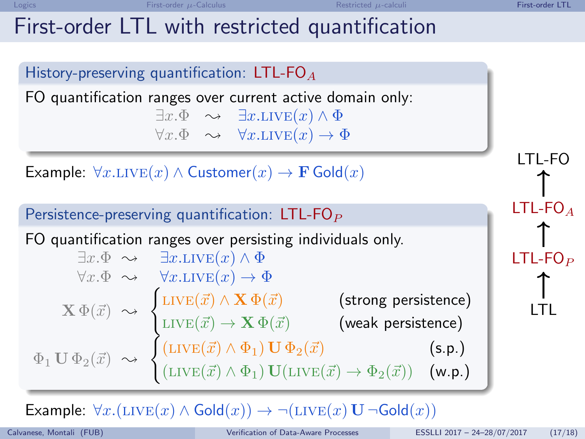LTL

## First-order LTL with restricted quantification

History-preserving quantification: LTL-FO $_A$ FO quantification ranges over current active domain only:  $\exists x.\Phi \quad \rightarrow \quad \exists x.\text{LIVE}(x) \land \Phi$  $\forall x.\Phi \rightarrow \forall x.\text{LIVE}(x) \rightarrow \Phi$ Example:  $\forall x. \text{LIVE}(x) \land \text{Customer}(x) \rightarrow \mathbf{F} \text{Gold}(x)$ Persistence-preserving quantification:  $LTL-FO<sub>P</sub>$ FO quantification ranges over persisting individuals only.  $\exists x.\Phi \sim \exists x.\text{LIVE}(x) \wedge \Phi$  $\forall x.\Phi \sim \forall x.\text{LIVE}(x) \rightarrow \Phi$  $\mathbf{X} \Phi(\vec{x}) \sim$  $\int$ LIVE $(\vec{x}) \wedge \mathbf{X} \Phi(\vec{x})$  (strong persistence) LIVE $(\vec{x}) \rightarrow \mathbf{X} \, \Phi(\vec{x})$  (weak persistence)  $\Phi_1 \mathbf{U} \Phi_2(\vec{x}) \sim$  $\int$ (LIVE( $\vec{x}$ )  $\wedge$   $\Phi$ <sub>1</sub>) **U**  $\Phi$ <sub>2</sub>( $\vec{x}$ ) (s.p.)  $(\text{LIVE}(\vec{x}) \wedge \Phi_1) \mathbf{U} (\text{LIVE}(\vec{x}) \rightarrow \Phi_2(\vec{x}))$  (w.p.) LTL-FO LTL-FO $_A$  $LTL-FO<sub>P</sub>$ 

Example:  $\forall x.(\text{LIVE}(x) \land \text{Gold}(x)) \rightarrow \neg(\text{LIVE}(x) \cup \neg \text{Gold}(x))$